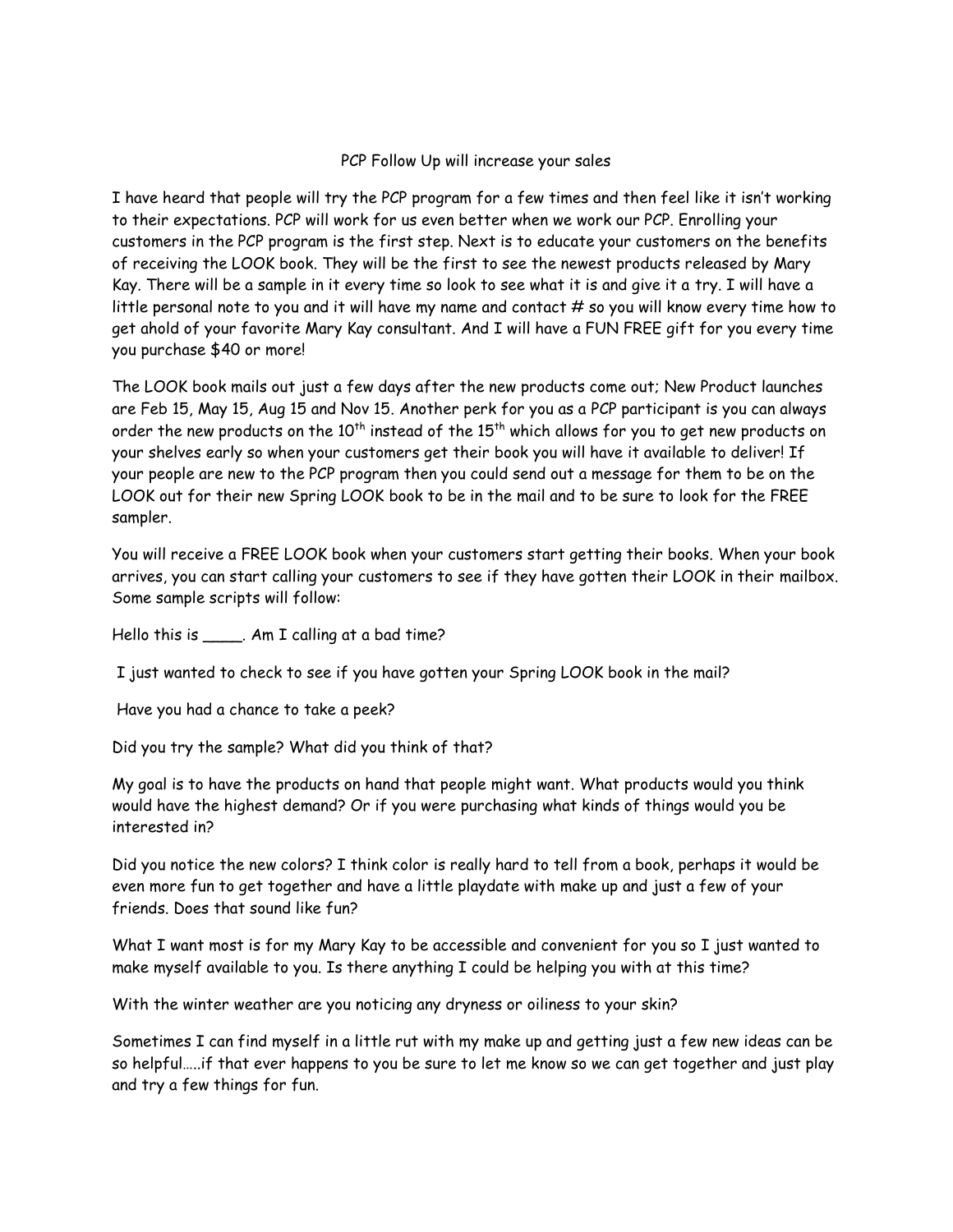## PCP Follow Up will increase your sales

I have heard that people will try the PCP program for a few times and then feel like it isn't working to their expectations. PCP will work for us even better when we work our PCP. Enrolling your customers in the PCP program is the first step. Next is to educate your customers on the benefits of receiving the LOOK book. They will be the first to see the newest products released by Mary Kay. There will be a sample in it every time so look to see what it is and give it a try. I will have a little personal note to you and it will have my name and contact  $#$  so you will know every time how to get ahold of your favorite Mary Kay consultant. And I will have a FUN FREE gift for you every time you purchase \$40 or more!

The LOOK book mails out just a few days after the new products come out; New Product launches are Feb 15, May 15, Aug 15 and Nov 15. Another perk for you as a PCP participant is you can always order the new products on the  $10^{th}$  instead of the  $15^{th}$  which allows for you to get new products on your shelves early so when your customers get their book you will have it available to deliver! If your people are new to the PCP program then you could send out a message for them to be on the LOOK out for their new Spring LOOK book to be in the mail and to be sure to look for the FREE sampler.

You will receive a FREE LOOK book when your customers start getting their books. When your book arrives, you can start calling your customers to see if they have gotten their LOOK in their mailbox. Some sample scripts will follow:

Hello this is \_\_\_\_\_. Am I calling at a bad time?

I just wanted to check to see if you have gotten your Spring LOOK book in the mail?

Have you had a chance to take a peek?

Did you try the sample? What did you think of that?

My goal is to have the products on hand that people might want. What products would you think would have the highest demand? Or if you were purchasing what kinds of things would you be interested in?

Did you notice the new colors? I think color is really hard to tell from a book, perhaps it would be even more fun to get together and have a little playdate with make up and just a few of your friends. Does that sound like fun?

What I want most is for my Mary Kay to be accessible and convenient for you so I just wanted to make myself available to you. Is there anything I could be helping you with at this time?

With the winter weather are you noticing any dryness or oiliness to your skin?

Sometimes I can find myself in a little rut with my make up and getting just a few new ideas can be so helpful…..if that ever happens to you be sure to let me know so we can get together and just play and try a few things for fun.